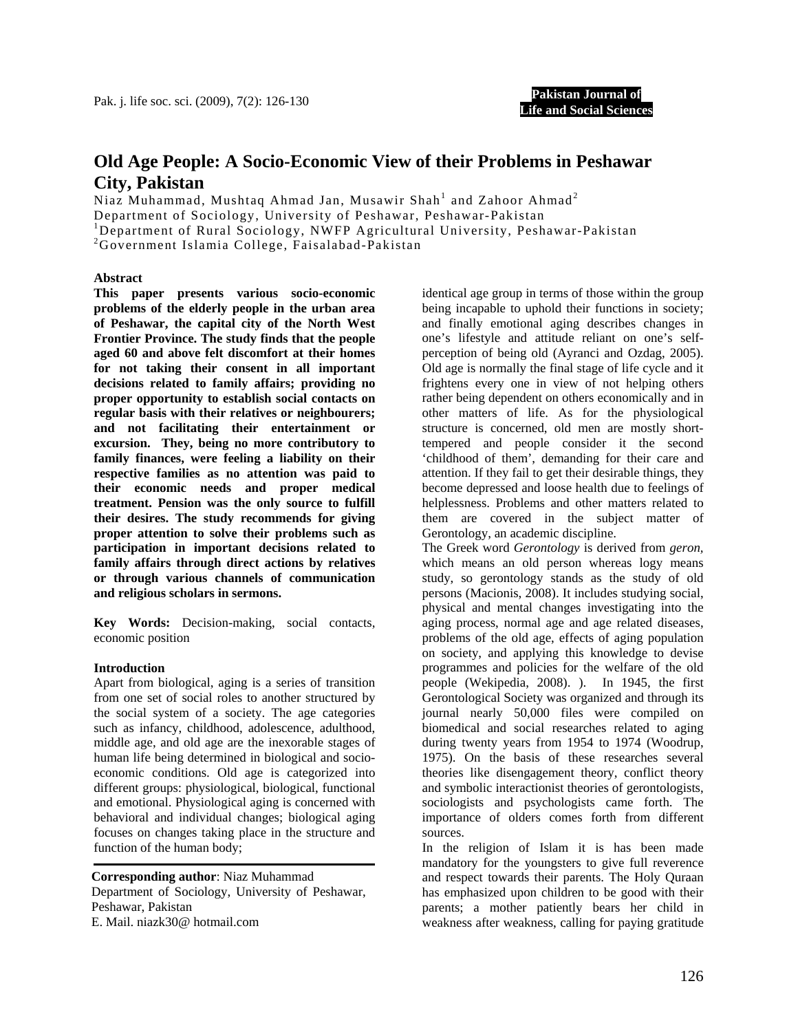**Pakistan Journal of Life and Social Sciences**

# **Old Age People: A Socio-Economic View of their Problems in Peshawar City, Pakistan**

Niaz Muhammad, Mushtaq Ahmad Jan, Musawir Shah $^{\rm l}$  and Zahoor Ahmad $^{\rm 2}$ Department of Sociology, University of Peshawar, Peshawar-Pakistan <sup>1</sup>Department of Rural Sociology, NWFP Agricultural University, Peshawar-Pakistan <sup>2</sup>Covernment Islamia Collage Esisalabed Pakistan Government Islamia College, Faisalabad-Pakistan

#### **Abstract**

**This paper presents various socio-economic problems of the elderly people in the urban area of Peshawar, the capital city of the North West Frontier Province. The study finds that the people aged 60 and above felt discomfort at their homes for not taking their consent in all important decisions related to family affairs; providing no proper opportunity to establish social contacts on regular basis with their relatives or neighbourers; and not facilitating their entertainment or excursion. They, being no more contributory to family finances, were feeling a liability on their respective families as no attention was paid to their economic needs and proper medical treatment. Pension was the only source to fulfill their desires. The study recommends for giving proper attention to solve their problems such as participation in important decisions related to family affairs through direct actions by relatives or through various channels of communication and religious scholars in sermons.** 

**Key Words:** Decision-making, social contacts, economic position

#### **Introduction**

Apart from biological, aging is a series of transition from one set of social roles to another structured by the social system of a society. The age categories such as infancy, childhood, adolescence, adulthood, middle age, and old age are the inexorable stages of human life being determined in biological and socioeconomic conditions. Old age is categorized into different groups: physiological, biological, functional and emotional. Physiological aging is concerned with behavioral and individual changes; biological aging focuses on changes taking place in the structure and function of the human body;

E. Mail. niazk30@ hotmail.com **Corresponding author**: Niaz Muhammad Department of Sociology, University of Peshawar, Peshawar, Pakistan

identical age group in terms of those within the group being incapable to uphold their functions in society; and finally emotional aging describes changes in one's lifestyle and attitude reliant on one's selfperception of being old (Ayranci and Ozdag, 2005). Old age is normally the final stage of life cycle and it frightens every one in view of not helping others rather being dependent on others economically and in other matters of life. As for the physiological structure is concerned, old men are mostly shorttempered and people consider it the second 'childhood of them', demanding for their care and attention. If they fail to get their desirable things, they become depressed and loose health due to feelings of helplessness. Problems and other matters related to them are covered in the subject matter of Gerontology, an academic discipline.

The Greek word *Gerontology* is derived from *geron,* which means an old person whereas logy means study, so gerontology stands as the study of old persons (Macionis, 2008). It includes studying social, physical and mental changes investigating into the aging process, normal age and age related diseases, problems of the old age, effects of aging population on society, and applying this knowledge to devise programmes and policies for the welfare of the old people (Wekipedia, 2008). ). In 1945, the first Gerontological Society was organized and through its journal nearly 50,000 files were compiled on biomedical and social researches related to aging during twenty years from 1954 to 1974 (Woodrup, 1975). On the basis of these researches several theories like disengagement theory, conflict theory and symbolic interactionist theories of gerontologists, sociologists and psychologists came forth. The importance of olders comes forth from different sources.

In the religion of Islam it is has been made mandatory for the youngsters to give full reverence and respect towards their parents. The Holy Quraan has emphasized upon children to be good with their parents; a mother patiently bears her child in weakness after weakness, calling for paying gratitude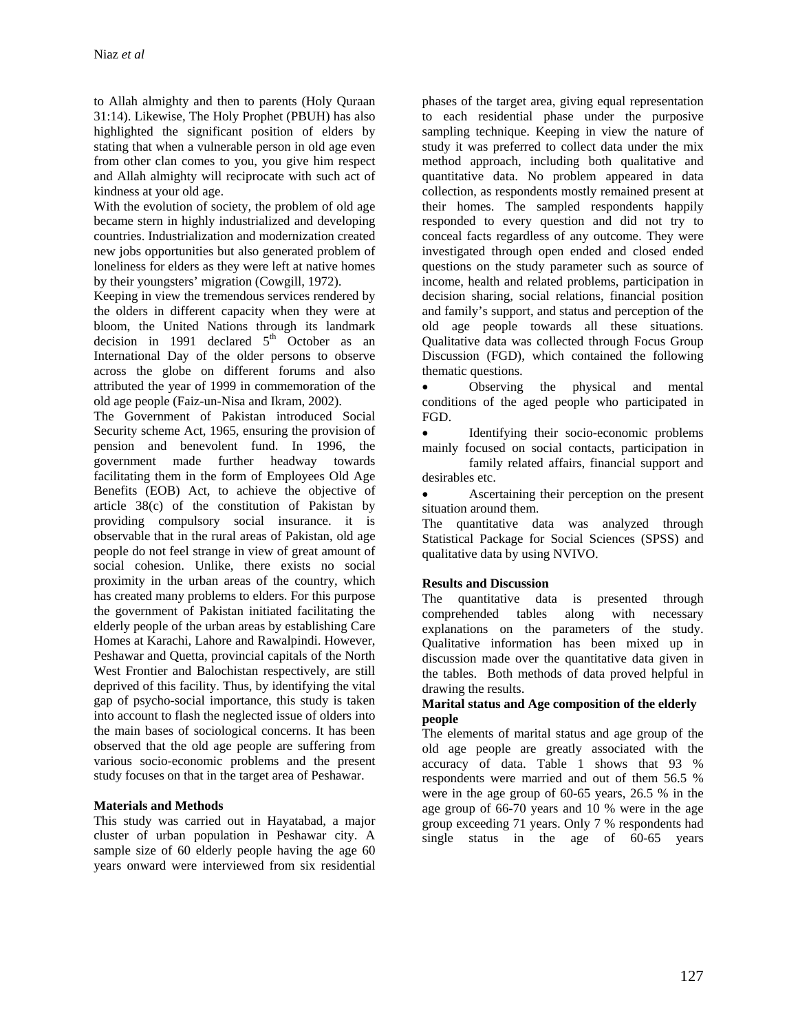to Allah almighty and then to parents (Holy Quraan 31:14). Likewise, The Holy Prophet (PBUH) has also highlighted the significant position of elders by stating that when a vulnerable person in old age even from other clan comes to you, you give him respect and Allah almighty will reciprocate with such act of kindness at your old age.

With the evolution of society, the problem of old age became stern in highly industrialized and developing countries. Industrialization and modernization created new jobs opportunities but also generated problem of loneliness for elders as they were left at native homes by their youngsters' migration (Cowgill, 1972).

Keeping in view the tremendous services rendered by the olders in different capacity when they were at bloom, the United Nations through its landmark decision in 1991 declared  $5<sup>th</sup>$  October as an International Day of the older persons to observe across the globe on different forums and also attributed the year of 1999 in commemoration of the old age people (Faiz-un-Nisa and Ikram, 2002).

The Government of Pakistan introduced Social Security scheme Act, 1965, ensuring the provision of pension and benevolent fund. In 1996, the government made further headway towards facilitating them in the form of Employees Old Age Benefits (EOB) Act, to achieve the objective of article 38(c) of the constitution of Pakistan by providing compulsory social insurance. it is observable that in the rural areas of Pakistan, old age people do not feel strange in view of great amount of social cohesion. Unlike, there exists no social proximity in the urban areas of the country, which has created many problems to elders. For this purpose the government of Pakistan initiated facilitating the elderly people of the urban areas by establishing Care Homes at Karachi, Lahore and Rawalpindi. However, Peshawar and Quetta, provincial capitals of the North West Frontier and Balochistan respectively, are still deprived of this facility. Thus, by identifying the vital gap of psycho-social importance, this study is taken into account to flash the neglected issue of olders into the main bases of sociological concerns. It has been observed that the old age people are suffering from various socio-economic problems and the present study focuses on that in the target area of Peshawar.

# **Materials and Methods**

This study was carried out in Hayatabad, a major cluster of urban population in Peshawar city. A sample size of 60 elderly people having the age 60 years onward were interviewed from six residential

phases of the target area, giving equal representation to each residential phase under the purposive sampling technique. Keeping in view the nature of study it was preferred to collect data under the mix method approach, including both qualitative and quantitative data. No problem appeared in data collection, as respondents mostly remained present at their homes. The sampled respondents happily responded to every question and did not try to conceal facts regardless of any outcome. They were investigated through open ended and closed ended questions on the study parameter such as source of income, health and related problems, participation in decision sharing, social relations, financial position and family's support, and status and perception of the old age people towards all these situations. Qualitative data was collected through Focus Group Discussion (FGD), which contained the following thematic questions.

Observing the physical and mental conditions of the aged people who participated in FGD.

Identifying their socio-economic problems mainly focused on social contacts, participation in

 family related affairs, financial support and desirables etc.

• Ascertaining their perception on the present situation around them.

The quantitative data was analyzed through Statistical Package for Social Sciences (SPSS) and qualitative data by using NVIVO.

# **Results and Discussion**

The quantitative data is presented through comprehended tables along with necessary explanations on the parameters of the study. Qualitative information has been mixed up in discussion made over the quantitative data given in the tables. Both methods of data proved helpful in drawing the results.

#### **Marital status and Age composition of the elderly people**

The elements of marital status and age group of the old age people are greatly associated with the accuracy of data. Table 1 shows that 93 % respondents were married and out of them 56.5 % were in the age group of 60-65 years, 26.5 % in the age group of 66-70 years and 10 % were in the age group exceeding 71 years. Only 7 % respondents had single status in the age of 60-65 years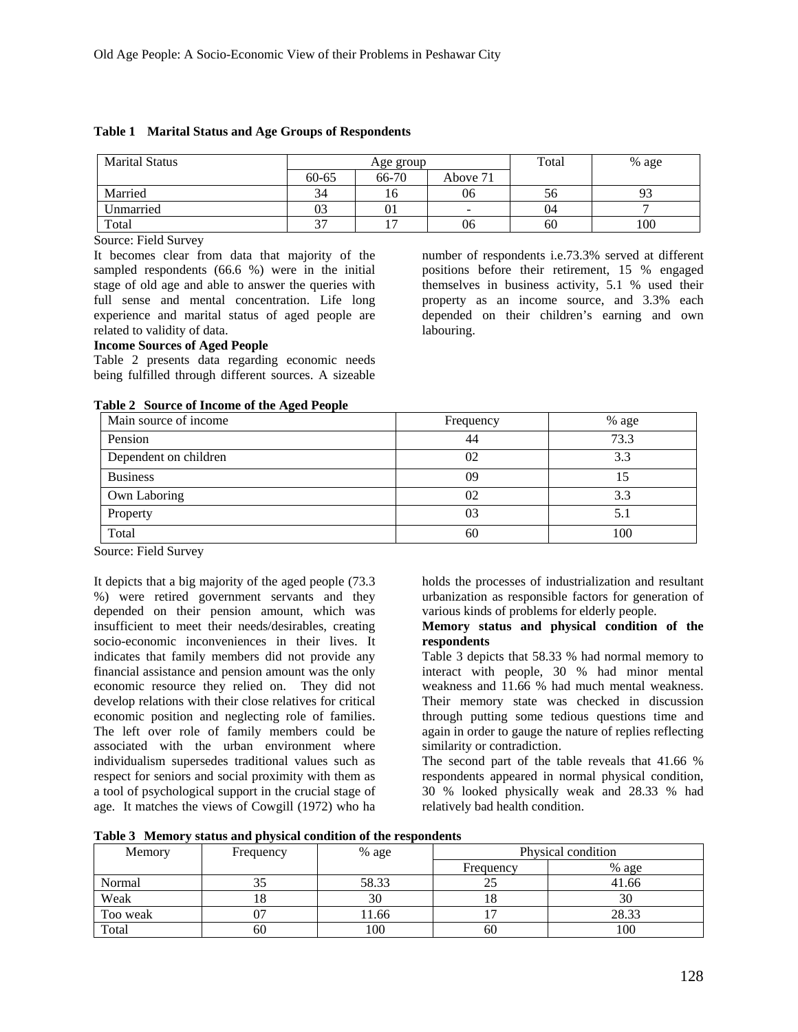| <b>Marital Status</b> | Age group |        |                          | Total | % age |
|-----------------------|-----------|--------|--------------------------|-------|-------|
|                       | $60 - 65$ | 66-70  | Above 71                 |       |       |
| Married               | 34        |        | 06                       | 56    | フコ    |
| Unmarried             | 03        | 01     | $\overline{\phantom{0}}$ | 04    |       |
| Total                 | $\sim$    | $\sim$ | 06                       | 60    | 100   |

#### **Table 1 Marital Status and Age Groups of Respondents**

Source: Field Survey

It becomes clear from data that majority of the sampled respondents (66.6 %) were in the initial stage of old age and able to answer the queries with full sense and mental concentration. Life long experience and marital status of aged people are related to validity of data.

number of respondents i.e.73.3% served at different positions before their retirement, 15 % engaged themselves in business activity, 5.1 % used their property as an income source, and 3.3% each depended on their children's earning and own labouring.

#### **Income Sources of Aged People**

Table 2 presents data regarding economic needs being fulfilled through different sources. A sizeable

|  | Table 2 Source of Income of the Aged People |  |  |  |  |
|--|---------------------------------------------|--|--|--|--|
|--|---------------------------------------------|--|--|--|--|

| Main source of income | Frequency | % age |  |
|-----------------------|-----------|-------|--|
| Pension               | 44        | 73.3  |  |
| Dependent on children | 02        | 3.3   |  |
| <b>Business</b>       | 09        | 15    |  |
| Own Laboring          | 02        | 3.3   |  |
| Property              | 03        | 5.1   |  |
| Total                 | 60        | 100   |  |

Source: Field Survey

It depicts that a big majority of the aged people (73.3 %) were retired government servants and they depended on their pension amount, which was insufficient to meet their needs/desirables, creating socio-economic inconveniences in their lives. It indicates that family members did not provide any financial assistance and pension amount was the only economic resource they relied on. They did not develop relations with their close relatives for critical economic position and neglecting role of families. The left over role of family members could be associated with the urban environment where individualism supersedes traditional values such as respect for seniors and social proximity with them as a tool of psychological support in the crucial stage of age. It matches the views of Cowgill (1972) who ha

holds the processes of industrialization and resultant urbanization as responsible factors for generation of various kinds of problems for elderly people.

#### **Memory status and physical condition of the respondents**

Table 3 depicts that 58.33 % had normal memory to interact with people, 30 % had minor mental weakness and 11.66 % had much mental weakness. Their memory state was checked in discussion through putting some tedious questions time and again in order to gauge the nature of replies reflecting similarity or contradiction.

The second part of the table reveals that 41.66 % respondents appeared in normal physical condition, 30 % looked physically weak and 28.33 % had relatively bad health condition.

**Table 3 Memory status and physical condition of the respondents** 

| Memory   | Frequency | % age | Physical condition |       |  |
|----------|-----------|-------|--------------------|-------|--|
|          |           |       | Frequency          | % age |  |
| Normal   |           | 58.33 | ت                  | 41.66 |  |
| Weak     |           | 30    | 1 O                | 30    |  |
| Too weak | 07        | 11.66 |                    | 28.33 |  |
| Total    | 60        | 100   | 60                 | 100   |  |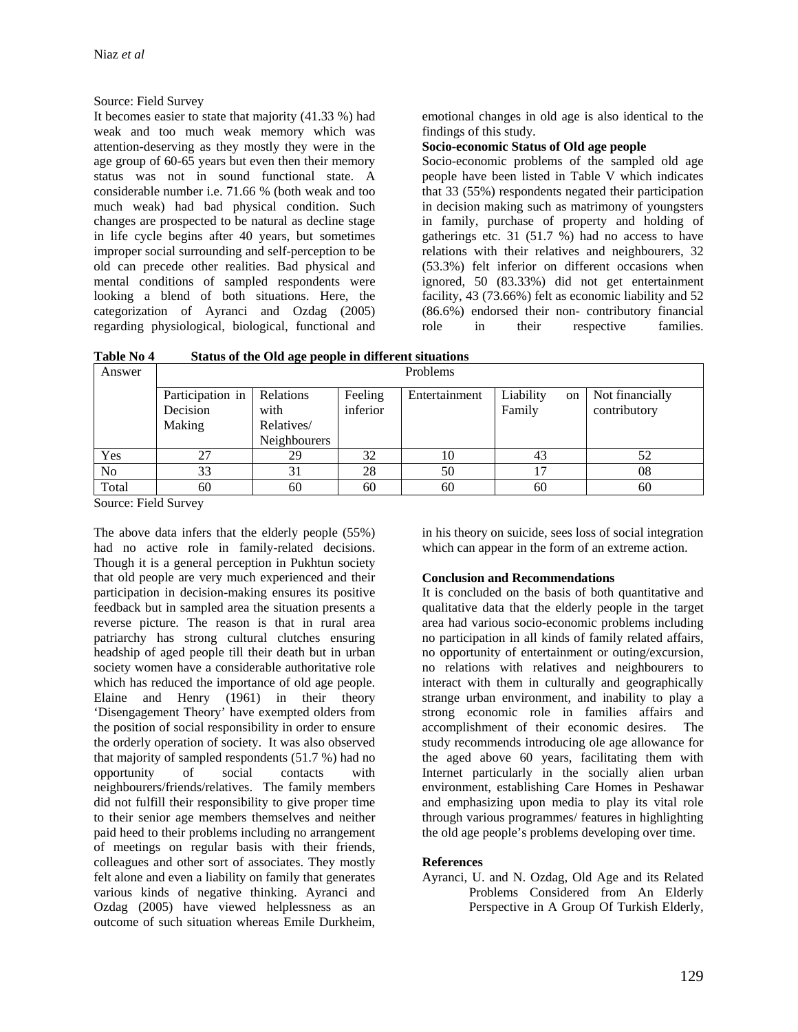#### Source: Field Survey

It becomes easier to state that majority (41.33 %) had weak and too much weak memory which was attention-deserving as they mostly they were in the age group of 60-65 years but even then their memory status was not in sound functional state. A considerable number i.e. 71.66 % (both weak and too much weak) had bad physical condition. Such changes are prospected to be natural as decline stage in life cycle begins after 40 years, but sometimes improper social surrounding and self-perception to be old can precede other realities. Bad physical and mental conditions of sampled respondents were looking a blend of both situations. Here, the categorization of Ayranci and Ozdag (2005) regarding physiological, biological, functional and emotional changes in old age is also identical to the findings of this study.

### **Socio-economic Status of Old age people**

Socio-economic problems of the sampled old age people have been listed in Table V which indicates that 33 (55%) respondents negated their participation in decision making such as matrimony of youngsters in family, purchase of property and holding of gatherings etc. 31  $(51.7 \%)$  had no access to have relations with their relatives and neighbourers, 32 (53.3%) felt inferior on different occasions when ignored, 50 (83.33%) did not get entertainment facility, 43 (73.66%) felt as economic liability and 52 (86.6%) endorsed their non- contributory financial role in their respective families.

**Table No 4 Status of the Old age people in different situations** 

| burds of the one age people in unfer encontrolle |                                        |                                                        |                     |               |                           |                                 |
|--------------------------------------------------|----------------------------------------|--------------------------------------------------------|---------------------|---------------|---------------------------|---------------------------------|
| Answer                                           | Problems                               |                                                        |                     |               |                           |                                 |
|                                                  | Participation in<br>Decision<br>Making | Relations<br>with<br>Relatives/<br><b>Neighbourers</b> | Feeling<br>inferior | Entertainment | Liability<br>on<br>Family | Not financially<br>contributory |
| Yes                                              |                                        | 29                                                     | 32                  | 10            | 43                        | 52                              |
| N <sub>o</sub>                                   | 33                                     | 31                                                     | 28                  | 50            |                           | 08                              |
| Total                                            | 60                                     | 60                                                     | 60                  | 60            | 60                        | 60                              |

Source: Field Survey

The above data infers that the elderly people (55%) had no active role in family-related decisions. Though it is a general perception in Pukhtun society that old people are very much experienced and their participation in decision-making ensures its positive feedback but in sampled area the situation presents a reverse picture. The reason is that in rural area patriarchy has strong cultural clutches ensuring headship of aged people till their death but in urban society women have a considerable authoritative role which has reduced the importance of old age people. Elaine and Henry (1961) in their theory 'Disengagement Theory' have exempted olders from the position of social responsibility in order to ensure the orderly operation of society. It was also observed that majority of sampled respondents (51.7 %) had no<br>opportunity of social contacts with opportunity of social contacts with neighbourers/friends/relatives. The family members did not fulfill their responsibility to give proper time to their senior age members themselves and neither paid heed to their problems including no arrangement of meetings on regular basis with their friends, colleagues and other sort of associates. They mostly felt alone and even a liability on family that generates various kinds of negative thinking. Ayranci and Ozdag (2005) have viewed helplessness as an outcome of such situation whereas Emile Durkheim,

in his theory on suicide, sees loss of social integration which can appear in the form of an extreme action.

#### **Conclusion and Recommendations**

It is concluded on the basis of both quantitative and qualitative data that the elderly people in the target area had various socio-economic problems including no participation in all kinds of family related affairs, no opportunity of entertainment or outing/excursion, no relations with relatives and neighbourers to interact with them in culturally and geographically strange urban environment, and inability to play a strong economic role in families affairs and accomplishment of their economic desires. The study recommends introducing ole age allowance for the aged above 60 years, facilitating them with Internet particularly in the socially alien urban environment, establishing Care Homes in Peshawar and emphasizing upon media to play its vital role through various programmes/ features in highlighting the old age people's problems developing over time.

#### **References**

Ayranci, U. and N. Ozdag, Old Age and its Related Problems Considered from An Elderly Perspective in A Group Of Turkish Elderly*,*